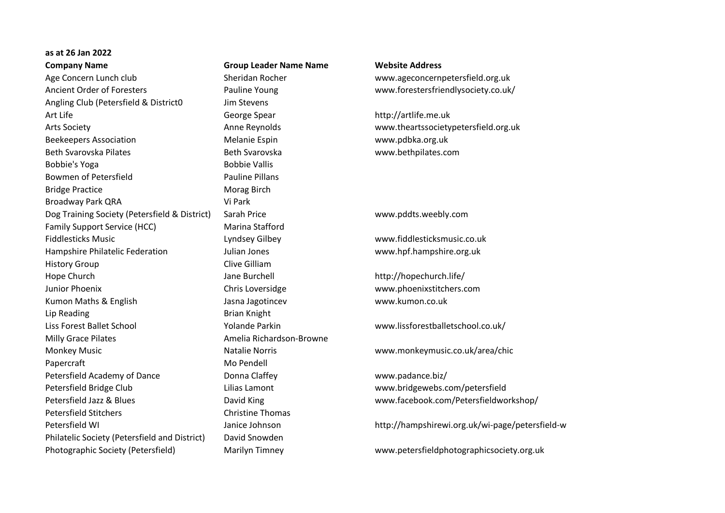## **as at 26 Jan 2022**

Age Concern Lunch club Sheridan Rocher www.ageconcernpetersfield.org.uk Ancient Order of Foresters Pauline Young www.forestersfriendlysociety.co.uk/ Angling Club (Petersfield & District0 Jim Stevens Art Life George Spear http://artlife.me.uk Arts Society Anne Reynolds www.theartssocietypetersfield.org.uk Beekeepers Association Melanie Espin www.pdbka.org.uk Beth Svarovska Pilates **Beth Svarovska** Beth Svarovska www.bethpilates.com Bobbie's Yoga **Bobbie Vallis** Bowmen of Petersfield **Pauline Pillans** Bridge Practice Morag Birch Broadway Park QRA Vi Park Dog Training Society (Petersfield & District) Sarah Price www.pddts.weebly.com Family Support Service (HCC) Marina Stafford Fiddlesticks Music Lyndsey Gilbey www.fiddlesticksmusic.co.uk Hampshire Philatelic Federation Julian Jones www.hpf.hampshire.org.uk History Group **Clive Gilliam** Hope Church **Music Church Church Church Church Jane Burchell** http://hopechurch.life/ Junior Phoenix Chris Loversidge www.phoenixstitchers.com Kumon Maths & English **Summan According the State Jasna Jagotincev www.kumon.co.uk** Lip Reading **Brian Knight** Liss Forest Ballet School Yolande Parkin www.lissforestballetschool.co.uk/ Milly Grace Pilates **Amelia Richardson-Browne** Monkey Music Natalie Norris www.monkeymusic.co.uk/area/chic Papercraft Mo Pendell Petersfield Academy of Dance **Donna Claffey** Donna Class Communication www.padance.biz/ Petersfield Bridge Club Lilias Lamont www.bridgewebs.com/petersfield Petersfield Jazz & Blues David King www.facebook.com/Petersfieldworkshop/ Petersfield Stitchers Christine Thomas Petersfield WI Janice Johnson http://hampshirewi.org.uk/wi-page/petersfield-wi Philatelic Society (Petersfield and District) David Snowden Photographic Society (Petersfield) Marilyn Timney www.petersfieldphotographicsociety.org.uk

**Company Name Group Leader Name Name Website Address**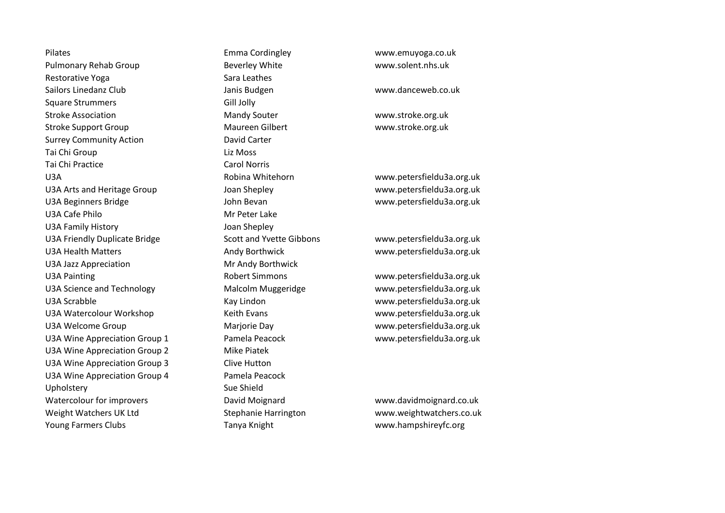Pilates Emma Cordingley www.emuyoga.co.uk Pulmonary Rehab Group Beverley White www.solent.nhs.uk Restorative Yoga Sara Leathes Sailors Linedanz Club Janis Budgen www.danceweb.co.uk Square Strummers Gill Jolly Stroke Association The Controller Mandy Souter The Mandy Souter www.stroke.org.uk Stroke Support Group Maureen Gilbert www.stroke.org.uk Surrey Community Action **David Carter** Tai Chi Group **Liz Moss** Tai Chi Practice Carol Norris U3A Robina Whitehorn www.petersfieldu3a.org.uk U3A Arts and Heritage Group Joan Shepley www.petersfieldu3a.org.uk U3A Beginners Bridge John Bevan www.petersfieldu3a.org.uk U3A Cafe Philo **Mr Peter Lake** U3A Family History **Canadian Shepley** Joan Shepley U3A Friendly Duplicate Bridge Scott and Yvette Gibbons www.petersfieldu3a.org.uk U3A Health Matters **Andy Borthwick** www.petersfieldu3a.org.uk U3A Jazz Appreciation Mr Andy Borthwick U3A Painting The Community Robert Simmons The Community Westersfieldu3a.org.uk U3A Science and Technology Malcolm Muggeridge www.petersfieldu3a.org.uk U3A Scrabble **Kay Lindon** Kay Lindon www.petersfieldu3a.org.uk U3A Watercolour Workshop Keith Evans www.petersfieldu3a.org.uk U3A Welcome Group Marjorie Day www.petersfieldu3a.org.uk U3A Wine Appreciation Group 1 Pamela Peacock www.petersfieldu3a.org.uk U3A Wine Appreciation Group 2 Mike Piatek U3A Wine Appreciation Group 3 Clive Hutton U3A Wine Appreciation Group 4 Pamela Peacock Upholstery Sue Shield Watercolour for improvers **David Moignard** Watercolour for improvers **David Moignard** Watercolour for improvers Weight Watchers UK Ltd Stephanie Harrington www.weightwatchers.co.uk Young Farmers Clubs Tanya Knight www.hampshireyfc.org